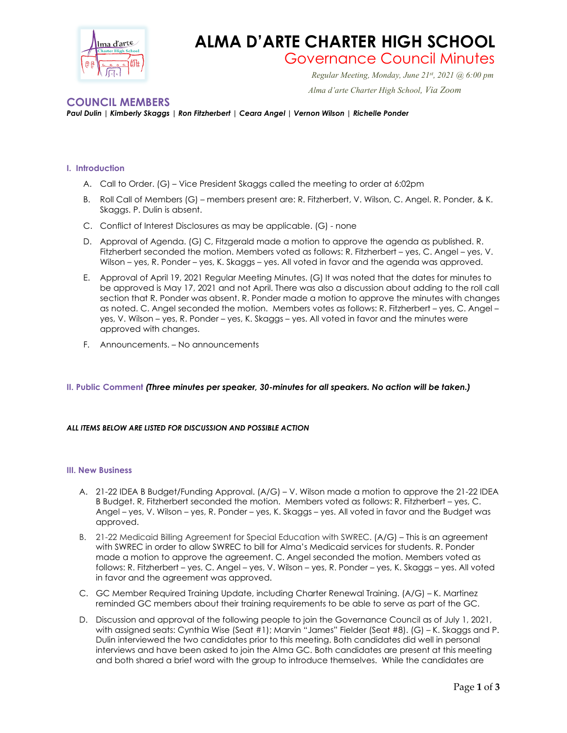

# **ALMA D'ARTE CHARTER HIGH SCHOOL**

# Governance Council Minutes *Regular Meeting, Monday, June 21st*

*Regular Meeting, Monday, June 21st, 2021 @ 6:00 pm Alma d'arte Charter High School, Via Zoom*

# **COUNCIL MEMBERS**

*Paul Dulin | Kimberly Skaggs | Ron Fitzherbert | Ceara Angel | Vernon Wilson | Richelle Ponder*

## **I. Introduction**

- A. Call to Order. (G) Vice President Skaggs called the meeting to order at 6:02pm
- B. Roll Call of Members (G) members present are: R. Fitzherbert, V. Wilson, C. Angel. R. Ponder, & K. Skaggs. P. Dulin is absent.
- C. Conflict of Interest Disclosures as may be applicable. (G) none
- D. Approval of Agenda. (G) C, Fitzgerald made a motion to approve the agenda as published. R. Fitzherbert seconded the motion. Members voted as follows: R. Fitzherbert – yes, C. Angel – yes, V. Wilson – yes, R. Ponder – yes, K. Skaggs – yes. All voted in favor and the agenda was approved.
- E. Approval of April 19, 2021 Regular Meeting Minutes. (G) It was noted that the dates for minutes to be approved is May 17, 2021 and not April. There was also a discussion about adding to the roll call section that R. Ponder was absent. R. Ponder made a motion to approve the minutes with changes as noted. C. Angel seconded the motion. Members votes as follows: R. Fitzherbert – yes, C. Angel – yes, V. Wilson – yes, R. Ponder – yes, K. Skaggs – yes. All voted in favor and the minutes were approved with changes.
- F. Announcements. No announcements

# **II. Public Comment** *(Three minutes per speaker, 30-minutes for all speakers. No action will be taken.)*

#### *ALL ITEMS BELOW ARE LISTED FOR DISCUSSION AND POSSIBLE ACTION*

#### **III. New Business**

- A. 21-22 IDEA B Budget/Funding Approval. (A/G) V. Wilson made a motion to approve the 21-22 IDEA B Budget. R, Fitzherbert seconded the motion. Members voted as follows: R. Fitzherbert – yes, C. Angel – yes, V. Wilson – yes, R. Ponder – yes, K. Skaggs – yes. All voted in favor and the Budget was approved.
- B. 21-22 Medicaid Billing Agreement for Special Education with SWREC. (A/G) This is an agreement with SWREC in order to allow SWREC to bill for Alma's Medicaid services for students. R. Ponder made a motion to approve the agreement. C. Angel seconded the motion. Members voted as follows: R. Fitzherbert – yes, C. Angel – yes, V. Wilson – yes, R. Ponder – yes, K. Skaggs – yes. All voted in favor and the agreement was approved.
- C. GC Member Required Training Update, including Charter Renewal Training. (A/G) K. Martinez reminded GC members about their training requirements to be able to serve as part of the GC.
- D. Discussion and approval of the following people to join the Governance Council as of July 1, 2021, with assigned seats: Cynthia Wise (Seat #1); Marvin "James" Fielder (Seat #8). (G) – K. Skaggs and P. Dulin interviewed the two candidates prior to this meeting. Both candidates did well in personal interviews and have been asked to join the Alma GC. Both candidates are present at this meeting and both shared a brief word with the group to introduce themselves. While the candidates are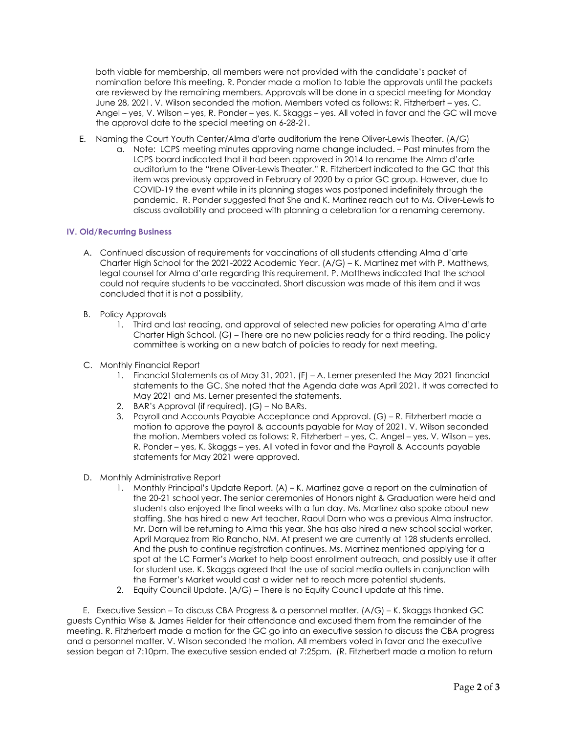both viable for membership, all members were not provided with the candidate's packet of nomination before this meeting. R. Ponder made a motion to table the approvals until the packets are reviewed by the remaining members. Approvals will be done in a special meeting for Monday June 28, 2021. V. Wilson seconded the motion. Members voted as follows: R. Fitzherbert – yes, C. Angel – yes, V. Wilson – yes, R. Ponder – yes, K. Skaggs – yes. All voted in favor and the GC will move the approval date to the special meeting on 6-28-21.

- E. Naming the Court Youth Center/Alma d'arte auditorium the Irene Oliver-Lewis Theater. (A/G)
	- a. Note: LCPS meeting minutes approving name change included. Past minutes from the LCPS board indicated that it had been approved in 2014 to rename the Alma d'arte auditorium to the "Irene Oliver-Lewis Theater." R. Fitzherbert indicated to the GC that this item was previously approved in February of 2020 by a prior GC group. However, due to COVID-19 the event while in its planning stages was postponed indefinitely through the pandemic. R. Ponder suggested that She and K. Martinez reach out to Ms. Oliver-Lewis to discuss availability and proceed with planning a celebration for a renaming ceremony.

#### **IV. Old/Recurring Business**

- A. Continued discussion of requirements for vaccinations of all students attending Alma d'arte Charter High School for the 2021-2022 Academic Year. (A/G) – K. Martinez met with P. Matthews, legal counsel for Alma d'arte regarding this requirement. P. Matthews indicated that the school could not require students to be vaccinated. Short discussion was made of this item and it was concluded that it is not a possibility,
- B. Policy Approvals
	- 1. Third and last reading, and approval of selected new policies for operating Alma d'arte Charter High School. (G) – There are no new policies ready for a third reading. The policy committee is working on a new batch of policies to ready for next meeting.
- C. Monthly Financial Report
	- 1. Financial Statements as of May 31, 2021. (F) A. Lerner presented the May 2021 financial statements to the GC. She noted that the Agenda date was April 2021. It was corrected to May 2021 and Ms. Lerner presented the statements.
	- 2. BAR's Approval (if required). (G) No BARs.
	- 3. Payroll and Accounts Payable Acceptance and Approval. (G) R. Fitzherbert made a motion to approve the payroll & accounts payable for May of 2021. V. Wilson seconded the motion. Members voted as follows: R. Fitzherbert – yes, C. Angel – yes, V. Wilson – yes, R. Ponder – yes, K. Skaggs – yes. All voted in favor and the Payroll & Accounts payable statements for May 2021 were approved.
- D. Monthly Administrative Report
	- 1. Monthly Principal's Update Report. (A) K. Martinez gave a report on the culmination of the 20-21 school year. The senior ceremonies of Honors night & Graduation were held and students also enjoyed the final weeks with a fun day. Ms. Martinez also spoke about new staffing. She has hired a new Art teacher, Raoul Dorn who was a previous Alma instructor. Mr. Dorn will be returning to Alma this year. She has also hired a new school social worker, April Marquez from Rio Rancho, NM. At present we are currently at 128 students enrolled. And the push to continue registration continues. Ms. Martinez mentioned applying for a spot at the LC Farmer's Market to help boost enrollment outreach, and possibly use it after for student use. K. Skaggs agreed that the use of social media outlets in conjunction with the Farmer's Market would cast a wider net to reach more potential students.
	- 2. Equity Council Update. (A/G) There is no Equity Council update at this time.

 E. Executive Session – To discuss CBA Progress & a personnel matter. (A/G) – K. Skaggs thanked GC guests Cynthia Wise & James Fielder for their attendance and excused them from the remainder of the meeting. R. Fitzherbert made a motion for the GC go into an executive session to discuss the CBA progress and a personnel matter. V. Wilson seconded the motion. All members voted in favor and the executive session began at 7:10pm. The executive session ended at 7:25pm. (R. Fitzherbert made a motion to return